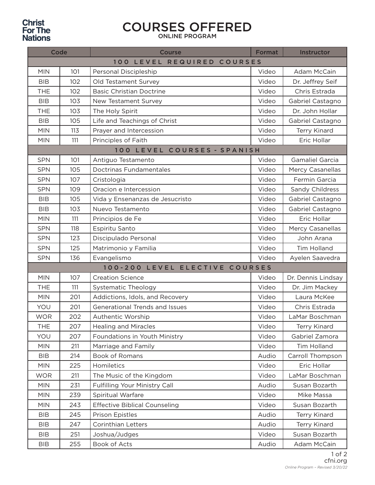## **Christ<br>For The<br>Nations**

## COURSES OFFERED

ONLINE PROGRAM

| Code                        |     | <b>Course</b>                        | <b>Format</b> | Instructor              |  |  |  |
|-----------------------------|-----|--------------------------------------|---------------|-------------------------|--|--|--|
| 100 LEVEL REQUIRED COURSES  |     |                                      |               |                         |  |  |  |
| <b>MIN</b>                  | 101 | Personal Discipleship                | Video         | <b>Adam McCain</b>      |  |  |  |
| <b>BIB</b>                  | 102 | Old Testament Survey                 | Video         | Dr. Jeffrey Seif        |  |  |  |
| <b>THE</b>                  | 102 | <b>Basic Christian Doctrine</b>      | Video         | Chris Estrada           |  |  |  |
| <b>BIB</b>                  | 103 | New Testament Survey                 | Video         | Gabriel Castagno        |  |  |  |
| <b>THE</b>                  | 103 | The Holy Spirit                      | Video         | Dr. John Hollar         |  |  |  |
| <b>BIB</b>                  | 105 | Life and Teachings of Christ         | Video         | Gabriel Castagno        |  |  |  |
| <b>MIN</b>                  | 113 | Prayer and Intercession              | Video         | Terry Kinard            |  |  |  |
| <b>MIN</b>                  | 111 | Principles of Faith                  | Video         | Eric Hollar             |  |  |  |
| 100 LEVEL COURSES - SPANISH |     |                                      |               |                         |  |  |  |
| <b>SPN</b>                  | 101 | Antiguo Testamento                   | Video         | Gamaliel Garcia         |  |  |  |
| <b>SPN</b>                  | 105 | <b>Doctrinas Fundamentales</b>       | Video         | <b>Mercy Casanellas</b> |  |  |  |
| <b>SPN</b>                  | 107 | Cristologia                          | Video         | Fermin Garcia           |  |  |  |
| <b>SPN</b>                  | 109 | Oracion e Intercession               | Video         | Sandy Childress         |  |  |  |
| <b>BIB</b>                  | 105 | Vida y Ensenanzas de Jesucristo      | Video         | Gabriel Castagno        |  |  |  |
| <b>BIB</b>                  | 103 | Nuevo Testamento                     | Video         | Gabriel Castagno        |  |  |  |
| <b>MIN</b>                  | 111 | Principios de Fe                     | Video         | Eric Hollar             |  |  |  |
| <b>SPN</b>                  | 118 | Espiritu Santo                       | Video         | Mercy Casanellas        |  |  |  |
| <b>SPN</b>                  | 123 | Discipulado Personal                 | Video         | John Arana              |  |  |  |
| <b>SPN</b>                  | 125 | Matrimonio y Familia                 | Video         | <b>Tim Holland</b>      |  |  |  |
| <b>SPN</b>                  | 136 | Evangelismo                          | Video         | Ayelen Saavedra         |  |  |  |
|                             |     | 100-200 LEVEL ELECTIVE COURSES       |               |                         |  |  |  |
| <b>MIN</b>                  | 107 | <b>Creation Science</b>              | Video         | Dr. Dennis Lindsay      |  |  |  |
| <b>THE</b>                  | 111 | Systematic Theology                  | Video         | Dr. Jim Mackey          |  |  |  |
| <b>MIN</b>                  | 201 | Addictions, Idols, and Recovery      | Video         | Laura McKee             |  |  |  |
| YOU                         | 201 | Generational Trends and Issues       | Video         | Chris Estrada           |  |  |  |
| <b>WOR</b>                  | 202 | Authentic Worship                    | Video         | LaMar Boschman          |  |  |  |
| <b>THE</b>                  | 207 | <b>Healing and Miracles</b>          | Video         | <b>Terry Kinard</b>     |  |  |  |
| YOU                         | 207 | Foundations in Youth Ministry        | Video         | Gabriel Zamora          |  |  |  |
| <b>MIN</b>                  | 211 | Marriage and Family                  | Video         | Tim Holland             |  |  |  |
| <b>BIB</b>                  | 214 | Book of Romans                       | Audio         | Carroll Thompson        |  |  |  |
| <b>MIN</b>                  | 225 | Homiletics                           | Video         | Eric Hollar             |  |  |  |
| <b>WOR</b>                  | 211 | The Music of the Kingdom             | Video         | LaMar Boschman          |  |  |  |
| <b>MIN</b>                  | 231 | Fulfilling Your Ministry Call        | Audio         | Susan Bozarth           |  |  |  |
| <b>MIN</b>                  | 239 | Spiritual Warfare                    | Video         | Mike Massa              |  |  |  |
| <b>MIN</b>                  | 243 | <b>Effective Biblical Counseling</b> | Video         | Susan Bozarth           |  |  |  |
| <b>BIB</b>                  | 245 | <b>Prison Epistles</b>               | Audio         | Terry Kinard            |  |  |  |
| <b>BIB</b>                  | 247 | <b>Corinthian Letters</b>            | Audio         | Terry Kinard            |  |  |  |
| <b>BIB</b>                  | 251 | Joshua/Judges                        | Video         | Susan Bozarth           |  |  |  |
| BIB                         | 255 | Book of Acts                         | Audio         | Adam McCain             |  |  |  |